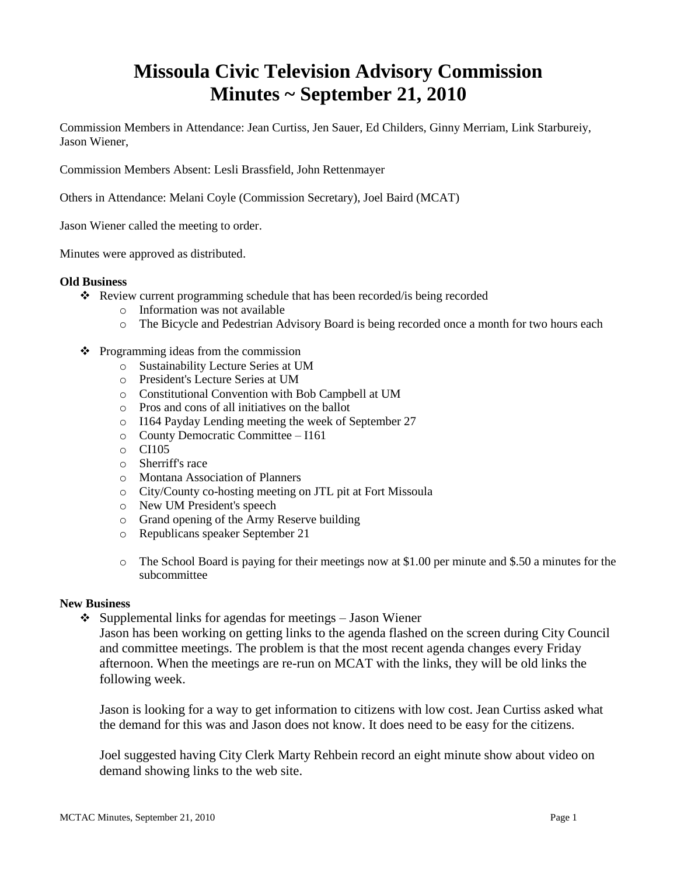# **Missoula Civic Television Advisory Commission Minutes ~ September 21, 2010**

Commission Members in Attendance: Jean Curtiss, Jen Sauer, Ed Childers, Ginny Merriam, Link Starbureiy, Jason Wiener,

Commission Members Absent: Lesli Brassfield, John Rettenmayer

Others in Attendance: Melani Coyle (Commission Secretary), Joel Baird (MCAT)

Jason Wiener called the meeting to order.

Minutes were approved as distributed.

#### **Old Business**

- Review current programming schedule that has been recorded/is being recorded
	- o Information was not available
	- o The Bicycle and Pedestrian Advisory Board is being recorded once a month for two hours each
- $\triangleleft$  Programming ideas from the commission
	- o Sustainability Lecture Series at UM
	- o President's Lecture Series at UM
	- o Constitutional Convention with Bob Campbell at UM
	- o Pros and cons of all initiatives on the ballot
	- o I164 Payday Lending meeting the week of September 27
	- o County Democratic Committee I161
	- o CI105
	- o Sherriff's race
	- o Montana Association of Planners
	- o City/County co-hosting meeting on JTL pit at Fort Missoula
	- o New UM President's speech
	- o Grand opening of the Army Reserve building
	- o Republicans speaker September 21
	- $\circ$  The School Board is paying for their meetings now at \$1.00 per minute and \$.50 a minutes for the subcommittee

#### **New Business**

 $\triangleleft$  Supplemental links for agendas for meetings – Jason Wiener

Jason has been working on getting links to the agenda flashed on the screen during City Council and committee meetings. The problem is that the most recent agenda changes every Friday afternoon. When the meetings are re-run on MCAT with the links, they will be old links the following week.

Jason is looking for a way to get information to citizens with low cost. Jean Curtiss asked what the demand for this was and Jason does not know. It does need to be easy for the citizens.

Joel suggested having City Clerk Marty Rehbein record an eight minute show about video on demand showing links to the web site.